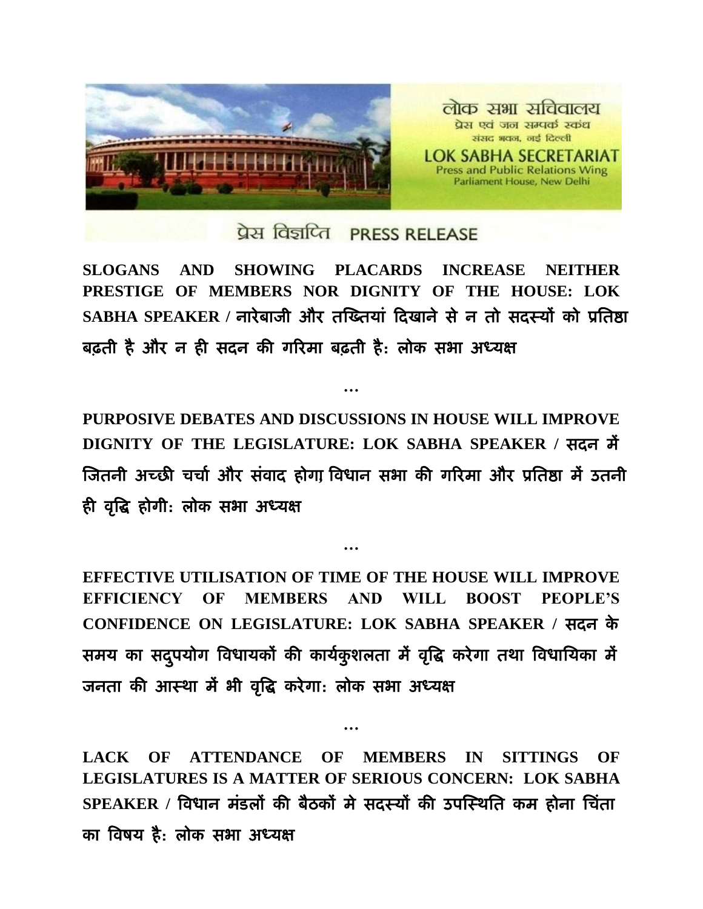

## प्रेस विज्ञप्ति PRESS RELEASE

**SLOGANS AND SHOWING PLACARDS INCREASE NEITHER PRESTIGE OF MEMBERS NOR DIGNITY OF THE HOUSE: LOK SABHA SPEAKER /** नायेफाजी औय तख्ततमाां ददखाने से न तो सदस्मों को प्रततष्ठा बढ़ती है और न ही सदन की गरिमा बढ़ती है: लोक सभा अध्यक्ष

**PURPOSIVE DEBATES AND DISCUSSIONS IN HOUSE WILL IMPROVE DIGNITY OF THE LEGISLATURE: LOK SABHA SPEAKER /** सदन भें ख्जतनी अच्छी चचाा औय सांवाद होगा**,** ववधान सबा की गरयभा औय प्रततष्ठा भें उतनी ही वृद्धि होगी: लोक सभा अध्यक्ष

**…**

**EFFECTIVE UTILISATION OF TIME OF THE HOUSE WILL IMPROVE EFFICIENCY OF MEMBERS AND WILL BOOST PEOPLE'S CONFIDENCE ON LEGISLATURE: LOK SABHA SPEAKER /** सदन के समय का सदुपयोग विधायकों की कार्यकुशलता में वृद्धि करेगा तथा विधायिका में जनता की आस्था में भी वृद्धि करेगा: लोक सभा अध्यक्ष

**…**

**LACK OF ATTENDANCE OF MEMBERS IN SITTINGS OF LEGISLATURES IS A MATTER OF SERIOUS CONCERN: LOK SABHA SPEAKER /** ववधान भांडरों की फैठकों भे सदस्मों की उऩख्स्थतत कभ होना तचांता का विषय है: लोक सभा अध्यक्ष

**…**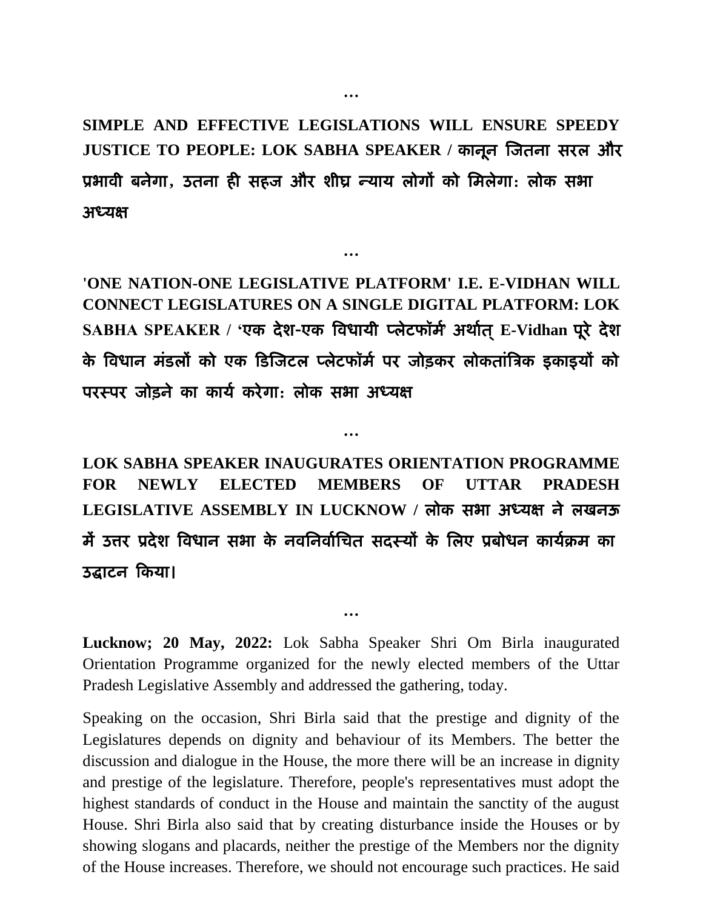**SIMPLE AND EFFECTIVE LEGISLATIONS WILL ENSURE SPEEDY JUSTICE TO PEOPLE: LOK SABHA SPEAKER /** कानून ख्जतना सयर औय प्रबावी फनेगा **,** उतना ही सहज औय शीघ्र न्माम रोगों को तभरेगा: रोक सबा अध्यक्ष

**…**

**…**

**'ONE NATION-ONE LEGISLATIVE PLATFORM' I.E. E-VIDHAN WILL CONNECT LEGISLATURES ON A SINGLE DIGITAL PLATFORM: LOK SABHA SPEAKER / '**एक देश-एक ववधामी प्रेटपॉभा**'** अथाात ्**E-Vidhan** ऩूये देश के विधान मंडलों को एक डिजिटल प्लेटफॉर्म पर जोड़कर लोकतांत्रिक इकाइयों को परस्पर जोड़ने का कार्य करेगा: लोक सभा अध्यक्ष

**LOK SABHA SPEAKER INAUGURATES ORIENTATION PROGRAMME FOR NEWLY ELECTED MEMBERS OF UTTAR PRADESH**  LEGISLATIVE ASSEMBLY IN LUCKNOW / लोक सभा अध्यक्ष ने लखनऊ में उत्तर प्रदेश विधान सभा के नवनिर्वाचित सदस्यों के लिए प्रबोधन कार्यक्रम का उद्घाटन दकमा।

**…**

**Lucknow; 20 May, 2022:** Lok Sabha Speaker Shri Om Birla inaugurated Orientation Programme organized for the newly elected members of the Uttar Pradesh Legislative Assembly and addressed the gathering, today.

**…**

Speaking on the occasion, Shri Birla said that the prestige and dignity of the Legislatures depends on dignity and behaviour of its Members. The better the discussion and dialogue in the House, the more there will be an increase in dignity and prestige of the legislature. Therefore, people's representatives must adopt the highest standards of conduct in the House and maintain the sanctity of the august House. Shri Birla also said that by creating disturbance inside the Houses or by showing slogans and placards, neither the prestige of the Members nor the dignity of the House increases. Therefore, we should not encourage such practices. He said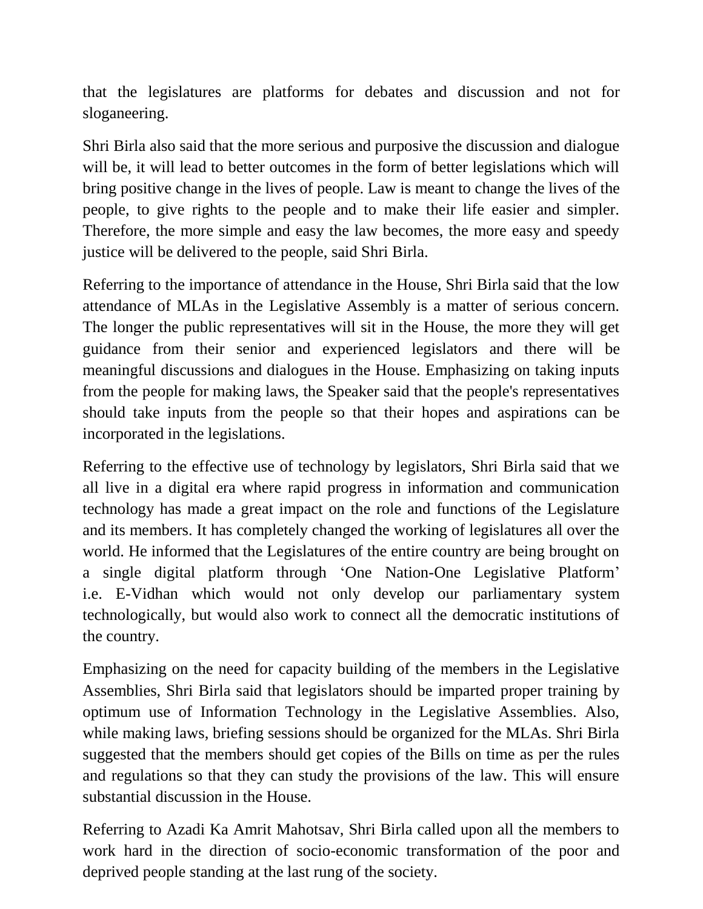that the legislatures are platforms for debates and discussion and not for sloganeering.

Shri Birla also said that the more serious and purposive the discussion and dialogue will be, it will lead to better outcomes in the form of better legislations which will bring positive change in the lives of people. Law is meant to change the lives of the people, to give rights to the people and to make their life easier and simpler. Therefore, the more simple and easy the law becomes, the more easy and speedy justice will be delivered to the people, said Shri Birla.

Referring to the importance of attendance in the House, Shri Birla said that the low attendance of MLAs in the Legislative Assembly is a matter of serious concern. The longer the public representatives will sit in the House, the more they will get guidance from their senior and experienced legislators and there will be meaningful discussions and dialogues in the House. Emphasizing on taking inputs from the people for making laws, the Speaker said that the people's representatives should take inputs from the people so that their hopes and aspirations can be incorporated in the legislations.

Referring to the effective use of technology by legislators, Shri Birla said that we all live in a digital era where rapid progress in information and communication technology has made a great impact on the role and functions of the Legislature and its members. It has completely changed the working of legislatures all over the world. He informed that the Legislatures of the entire country are being brought on a single digital platform through 'One Nation-One Legislative Platform' i.e. E-Vidhan which would not only develop our parliamentary system technologically, but would also work to connect all the democratic institutions of the country.

Emphasizing on the need for capacity building of the members in the Legislative Assemblies, Shri Birla said that legislators should be imparted proper training by optimum use of Information Technology in the Legislative Assemblies. Also, while making laws, briefing sessions should be organized for the MLAs. Shri Birla suggested that the members should get copies of the Bills on time as per the rules and regulations so that they can study the provisions of the law. This will ensure substantial discussion in the House.

Referring to Azadi Ka Amrit Mahotsav, Shri Birla called upon all the members to work hard in the direction of socio-economic transformation of the poor and deprived people standing at the last rung of the society.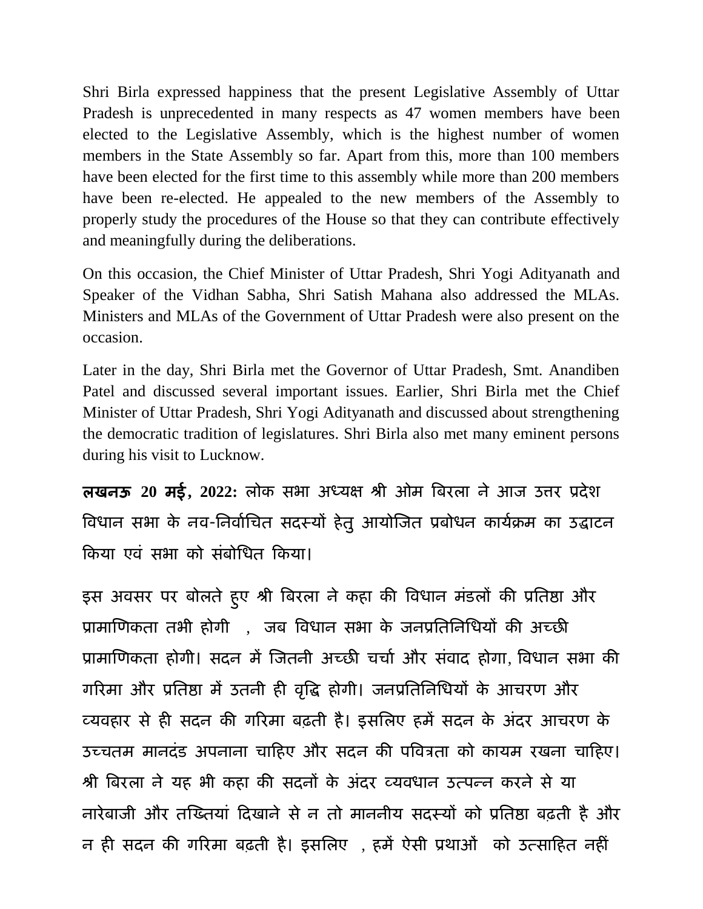Shri Birla expressed happiness that the present Legislative Assembly of Uttar Pradesh is unprecedented in many respects as 47 women members have been elected to the Legislative Assembly, which is the highest number of women members in the State Assembly so far. Apart from this, more than 100 members have been elected for the first time to this assembly while more than 200 members have been re-elected. He appealed to the new members of the Assembly to properly study the procedures of the House so that they can contribute effectively and meaningfully during the deliberations.

On this occasion, the Chief Minister of Uttar Pradesh, Shri Yogi Adityanath and Speaker of the Vidhan Sabha, Shri Satish Mahana also addressed the MLAs. Ministers and MLAs of the Government of Uttar Pradesh were also present on the occasion.

Later in the day, Shri Birla met the Governor of Uttar Pradesh, Smt. Anandiben Patel and discussed several important issues. Earlier, Shri Birla met the Chief Minister of Uttar Pradesh, Shri Yogi Adityanath and discussed about strengthening the democratic tradition of legislatures. Shri Birla also met many eminent persons during his visit to Lucknow.

रखनऊ **20** भई**, 2022:** रोक सबा अध्मऺ श्री ओभ वफयरा ने आज उत्तय प्रदेश विधान सभा के नव-निर्वाचित सदस्यों हेतु आयोजित प्रबोधन कार्यक्रम का उद्घाटन किया एवं सभा को संबोधित किया।

इस अवसर पर बोलते हुए श्री बिरला ने कहा की विधान मडलों की प्रतिष्ठा और प्रामाणिकता तभी होगी , जब विधान सभा के जनप्रतिनिधियों की अच्छी प्रामाणिकता होगी। सदन में जितनी अच्छी चर्चा और संवाद होगा, विधान सभा की गरिमा और प्रतिष्ठा में उतनी ही वृद्धि होगी। जनप्रतिनिधियों के आचरण और व्मवहाय से ही सदन की गरयभा फढ़ती है। इसतरए हभें सदन के अांदय आचयि के उच्चतम मानदंड अपनाना चाहिए और सदन की पवित्रता को कायम रखना चाहिए। श्री बिरला ने यह भी कहा की सदनों के अंदर व्यवधान उत्पन्न करने से या नायेफाजी औय तख्ततमाां ददखाने से न तो भाननीम सदस्मों को प्रततष्ठा फढ़ती है औय न ही सदन की गरिमा बढ़ती है। इसलिए , हमें ऐसी प्रथाओं को उत्साहित नहीं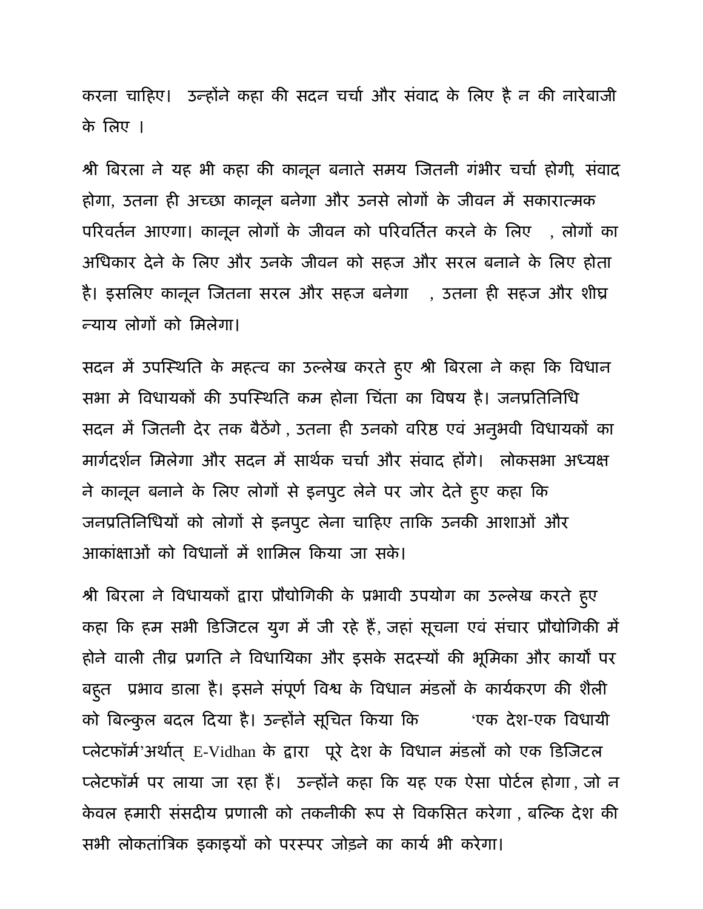करना चाहिए। उन्होंने कहा की सदन चर्चा और संवाद के लिए है न की नारेबाजी के तरए ।

श्री बिरला ने यह भी कहा की कानून बनाते समय जितनी गंभीर चर्चा होगी, संवाद होगा, उतना ही अच्छा कानून फनेगा औय उनसे रोगों के जीवन भें सकायात्भक परिवर्तन आएगा। कानून लोगों के जीवन को परिवर्तित करने के लिए , लोगों का अधिकार देने के लिए और उनके जीवन को सहज और सरल बनाने के लिए होता है। इसलिए कानून जितना सरल और सहज बनेगा , उतना ही सहज और शीघ्र न्माम रोगों को तभरेगा।

सदन में उपस्थिति के महत्व का उल्लेख करते हुए श्री बिरला ने कहा कि विधान सभा मे विधायकों की उपस्थिति कम होना चिंता का विषय है। जनप्रतिनिधि सदन भें ख्जतनी देय तक फैठेंगे, उतना ही उनको वरयष्ठ एवां अनुबवी ववधामकों का मार्गदर्शन मिलेगा और सदन में सार्थक चर्चा और संवाद होंगे। लोकसभा अध्यक्ष ने कानून बनाने के लिए लोगों से इनपुट लेने पर जोर देते हुए कहा कि जनप्रतिनिधियों को लोगों से इनपुट लेना चाहिए ताकि उनकी आशाओं और आकांक्षाओं को विधानों में शामिल किया जा सके।

श्री बिरला ने विधायकों द्वारा प्रौद्योगिकी के प्रभावी उपयोग का उल्लेख करते हुए कहा कि हम सभी डिजिटल युग में जी रहे हैं, जहां सूचना एवं संचार प्रौद्योगिकी में होने वाली तीव्र प्रगति ने विधायिका और इसके सदस्यों की भूमिका और कार्यों पर बहुत प्रभाव डाला है। इसने सपूर्ण विश्व के विधान मडलों के कार्यकरण की शैली को बिल्कुल बदल दिया है। उन्होंने सूचित किया कि सांएक देश-एक विधायी प्लेटफॉर्म'अर्थात् E-Vidhan के द्वारा पूरे देश के विधान मंडलों को एक डिजिटल प्लेटफॉर्म पर लाया जा रहा हैं। उन्होंने कहा कि यह एक ऐसा पोर्टल होगा ,जो न केवल हमारी संसदीय प्रणाली को तकनीकी रूप से विकसित करेगा , बल्कि देश की सभी लोकतांत्रिक इकाइयों को परस्पर जोड़ने का कार्य भी करेगा।